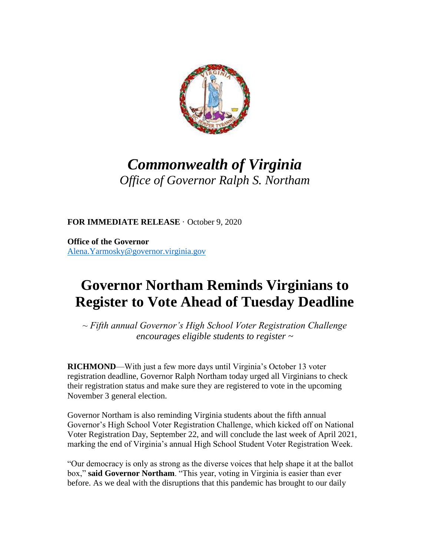

## *Commonwealth of Virginia Office of Governor Ralph S. Northam*

**FOR IMMEDIATE RELEASE** · October 9, 2020

**Office of the Governor** [Alena.Yarmosky@governor.virginia.gov](mailto:Alena.Yarmosky@governor.virginia.gov)

## **Governor Northam Reminds Virginians to Register to Vote Ahead of Tuesday Deadline**

*~ Fifth annual Governor's High School Voter Registration Challenge encourages eligible students to register ~*

**RICHMOND—With just a few more days until Virginia's October 13 voter** registration deadline, Governor Ralph Northam today urged all Virginians to check their registration status and make sure they are registered to vote in the upcoming November 3 general election.

Governor Northam is also reminding Virginia students about the fifth annual Governor's High School Voter Registration Challenge, which kicked off on National Voter Registration Day, September 22, and will conclude the last week of April 2021, marking the end of Virginia's annual High School Student Voter Registration Week.

"Our democracy is only as strong as the diverse voices that help shape it at the ballot box," **said Governor Northam**. "This year, voting in Virginia is easier than ever before. As we deal with the disruptions that this pandemic has brought to our daily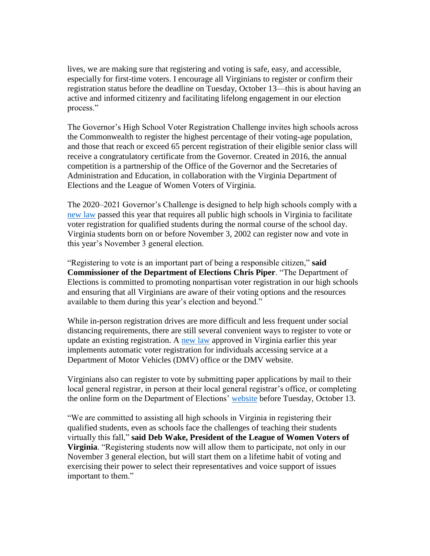lives, we are making sure that registering and voting is safe, easy, and accessible, especially for first-time voters. I encourage all Virginians to register or confirm their registration status before the deadline on Tuesday, October 13—this is about having an active and informed citizenry and facilitating lifelong engagement in our election process."

The Governor's High School Voter Registration Challenge invites high schools across the Commonwealth to register the highest percentage of their voting-age population, and those that reach or exceed 65 percent registration of their eligible senior class will receive a congratulatory certificate from the Governor. Created in 2016, the annual competition is a partnership of the Office of the Governor and the Secretaries of Administration and Education, in collaboration with the Virginia Department of Elections and the League of Women Voters of Virginia.

The 2020–2021 Governor's Challenge is designed to help high schools comply with a [new law](http://r20.rs6.net/tn.jsp?f=001F9yPC9bW6Ato--Rdp7YtDZ07vV35pUJCj4qkanI6YL-Kk-JidskbNkhu-0rY6OGOOfYDX1RP0iPQGJZHjBtCUK9S-ZYcRQUgnlal8URKmlF5tOjBuIwehqtJzVgXU4C84dyB4tXaLYHLCaDc1S5Av8XztMOyPF09BObSkqZovg0ph0YEZGIaNBG6xARMNlaNAovLWAfLtI4=&c=ASMtINc31fQO4eVgZMbNVKc3qdjEexDGLqdIVnwioHS1PiNm41VGzQ==&ch=TZ9MCQF4B7orDsY1kKFu1GypbzuIuJ-WkwcK1SjuTYeINcasGMLrzA==) passed this year that requires all public high schools in Virginia to facilitate voter registration for qualified students during the normal course of the school day. Virginia students born on or before November 3, 2002 can register now and vote in this year's November 3 general election.

"Registering to vote is an important part of being a responsible citizen," **said Commissioner of the Department of Elections Chris Piper**. "The Department of Elections is committed to promoting nonpartisan voter registration in our high schools and ensuring that all Virginians are aware of their voting options and the resources available to them during this year's election and beyond."

While in-person registration drives are more difficult and less frequent under social distancing requirements, there are still several convenient ways to register to vote or update an existing registration. A [new law](http://r20.rs6.net/tn.jsp?f=001F9yPC9bW6Ato--Rdp7YtDZ07vV35pUJCj4qkanI6YL-Kk-JidskbNgz0hviQBKlZh1NUa39gBcqrFETrBTy_QCzzXewC2I0bQGDOcRVsjQR_kti_5XRHQ0Pakx3bdqpbCRtO2PCsuLNDcuvRFOluV9N38cy_S7Bw88B-5sHcMfPCzGxArpXX00MP0OwPRx4eAG2RbZuEgTaUtmFcshHgWXX5WjHf5VmR&c=ASMtINc31fQO4eVgZMbNVKc3qdjEexDGLqdIVnwioHS1PiNm41VGzQ==&ch=TZ9MCQF4B7orDsY1kKFu1GypbzuIuJ-WkwcK1SjuTYeINcasGMLrzA==) approved in Virginia earlier this year implements automatic voter registration for individuals accessing service at a Department of Motor Vehicles (DMV) office or the DMV website.

Virginians also can register to vote by submitting paper applications by mail to their local general registrar, in person at their local general registrar's office, or completing the online form on the Department of Elections' [website](http://r20.rs6.net/tn.jsp?f=001F9yPC9bW6Ato--Rdp7YtDZ07vV35pUJCj4qkanI6YL-Kk-JidskbNooGxGoZgVvb18jMCDe58_ZhvIel4TbHPT28XS4hCbQPHRnAIG8BGUFU14j2A20zeCPfXQuktWig3HqFqCOGTcW7b0vHDptCwhrAGY-WjdmZJvUWmTM0DUhxAAsft2--Wg==&c=ASMtINc31fQO4eVgZMbNVKc3qdjEexDGLqdIVnwioHS1PiNm41VGzQ==&ch=TZ9MCQF4B7orDsY1kKFu1GypbzuIuJ-WkwcK1SjuTYeINcasGMLrzA==) before Tuesday, October 13.

"We are committed to assisting all high schools in Virginia in registering their qualified students, even as schools face the challenges of teaching their students virtually this fall," **said Deb Wake, President of the League of Women Voters of Virginia**. "Registering students now will allow them to participate, not only in our November 3 general election, but will start them on a lifetime habit of voting and exercising their power to select their representatives and voice support of issues important to them."